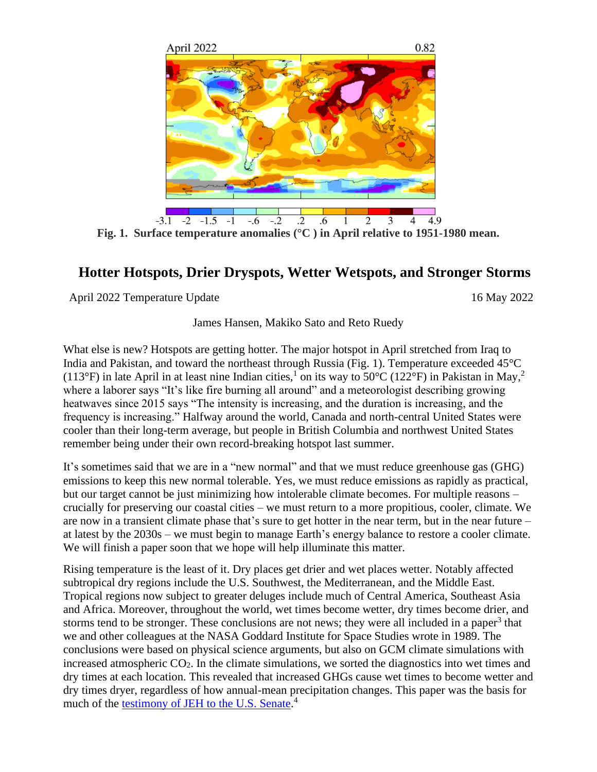

**Fig. 1. Surface temperature anomalies (°C ) in April relative to 1951-1980 mean.**

## **Hotter Hotspots, Drier Dryspots, Wetter Wetspots, and Stronger Storms**

April 2022 Temperature Update 16 May 2022

James Hansen, Makiko Sato and Reto Ruedy

What else is new? Hotspots are getting hotter. The major hotspot in April stretched from Iraq to India and Pakistan, and toward the northeast through Russia (Fig. 1). Temperature exceeded 45°C (113°F) in late April in at least nine Indian cities,<sup>1</sup> on its way to 50°C (122°F) in Pakistan in May,<sup>2</sup> where a laborer says "It's like fire burning all around" and a meteorologist describing growing heatwaves since 2015 says "The intensity is increasing, and the duration is increasing, and the frequency is increasing." Halfway around the world, Canada and north-central United States were cooler than their long-term average, but people in British Columbia and northwest United States remember being under their own record-breaking hotspot last summer.

It's sometimes said that we are in a "new normal" and that we must reduce greenhouse gas (GHG) emissions to keep this new normal tolerable. Yes, we must reduce emissions as rapidly as practical, but our target cannot be just minimizing how intolerable climate becomes. For multiple reasons – crucially for preserving our coastal cities – we must return to a more propitious, cooler, climate. We are now in a transient climate phase that's sure to get hotter in the near term, but in the near future – at latest by the 2030s – we must begin to manage Earth's energy balance to restore a cooler climate. We will finish a paper soon that we hope will help illuminate this matter.

Rising temperature is the least of it. Dry places get drier and wet places wetter. Notably affected subtropical dry regions include the U.S. Southwest, the Mediterranean, and the Middle East. Tropical regions now subject to greater deluges include much of Central America, Southeast Asia and Africa. Moreover, throughout the world, wet times become wetter, dry times become drier, and storms tend to be stronger. These conclusions are not news; they were all included in a paper<sup>3</sup> that we and other colleagues at the NASA Goddard Institute for Space Studies wrote in 1989. The conclusions were based on physical science arguments, but also on GCM climate simulations with increased atmospheric  $CO<sub>2</sub>$ . In the climate simulations, we sorted the diagnostics into wet times and dry times at each location. This revealed that increased GHGs cause wet times to become wetter and dry times dryer, regardless of how annual-mean precipitation changes. This paper was the basis for much of the [testimony of JEH to the U.S. Senate.](http://www.columbia.edu/~jeh1/mailings/2020/20200824_SophiePlanet21.pdf)<sup>4</sup>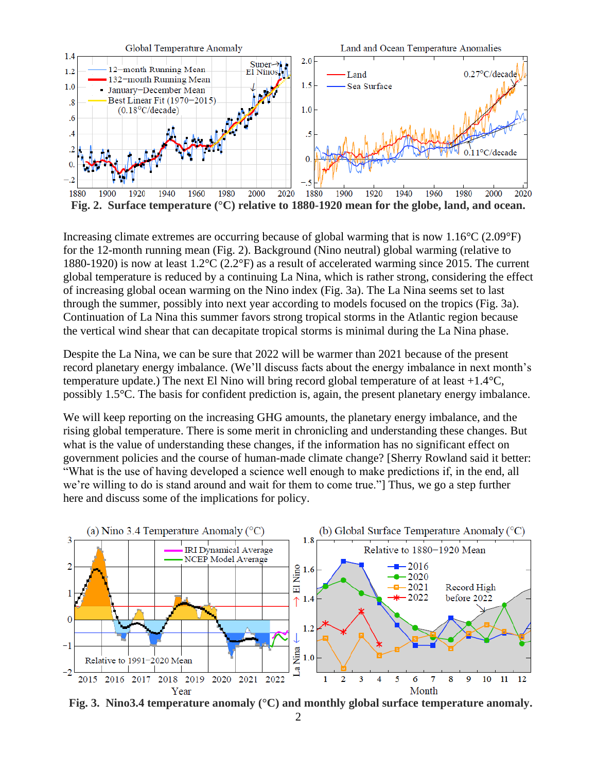

Increasing climate extremes are occurring because of global warming that is now  $1.16^{\circ}C(2.09^{\circ}F)$ for the 12-month running mean (Fig. 2). Background (Nino neutral) global warming (relative to 1880-1920) is now at least 1.2°C (2.2°F) as a result of accelerated warming since 2015. The current global temperature is reduced by a continuing La Nina, which is rather strong, considering the effect of increasing global ocean warming on the Nino index (Fig. 3a). The La Nina seems set to last through the summer, possibly into next year according to models focused on the tropics (Fig. 3a). Continuation of La Nina this summer favors strong tropical storms in the Atlantic region because the vertical wind shear that can decapitate tropical storms is minimal during the La Nina phase.

Despite the La Nina, we can be sure that 2022 will be warmer than 2021 because of the present record planetary energy imbalance. (We'll discuss facts about the energy imbalance in next month's temperature update.) The next El Nino will bring record global temperature of at least  $+1.4^{\circ}C$ , possibly 1.5°C. The basis for confident prediction is, again, the present planetary energy imbalance.

We will keep reporting on the increasing GHG amounts, the planetary energy imbalance, and the rising global temperature. There is some merit in chronicling and understanding these changes. But what is the value of understanding these changes, if the information has no significant effect on government policies and the course of human-made climate change? [Sherry Rowland said it better: "What is the use of having developed a science well enough to make predictions if, in the end, all we're willing to do is stand around and wait for them to come true."] Thus, we go a step further here and discuss some of the implications for policy.



**Fig. 3. Nino3.4 temperature anomaly (°C) and monthly global surface temperature anomaly.**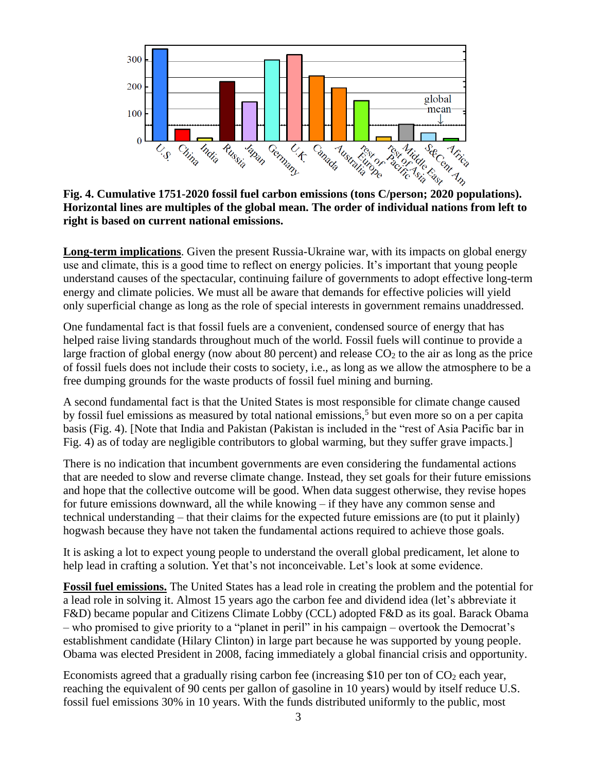

**Horizontal lines are multiples of the global mean. The order of individual nations from left to right is based on current national emissions.**

**Long-term implications**. Given the present Russia-Ukraine war, with its impacts on global energy use and climate, this is a good time to reflect on energy policies. It's important that young people understand causes of the spectacular, continuing failure of governments to adopt effective long-term energy and climate policies. We must all be aware that demands for effective policies will yield only superficial change as long as the role of special interests in government remains unaddressed.

One fundamental fact is that fossil fuels are a convenient, condensed source of energy that has helped raise living standards throughout much of the world. Fossil fuels will continue to provide a large fraction of global energy (now about 80 percent) and release  $CO<sub>2</sub>$  to the air as long as the price of fossil fuels does not include their costs to society, i.e., as long as we allow the atmosphere to be a free dumping grounds for the waste products of fossil fuel mining and burning.

A second fundamental fact is that the United States is most responsible for climate change caused by fossil fuel emissions as measured by total national emissions,<sup>5</sup> but even more so on a per capita basis (Fig. 4). [Note that India and Pakistan (Pakistan is included in the "rest of Asia Pacific bar in Fig. 4) as of today are negligible contributors to global warming, but they suffer grave impacts.]

There is no indication that incumbent governments are even considering the fundamental actions that are needed to slow and reverse climate change. Instead, they set goals for their future emissions and hope that the collective outcome will be good. When data suggest otherwise, they revise hopes for future emissions downward, all the while knowing – if they have any common sense and technical understanding – that their claims for the expected future emissions are (to put it plainly) hogwash because they have not taken the fundamental actions required to achieve those goals.

It is asking a lot to expect young people to understand the overall global predicament, let alone to help lead in crafting a solution. Yet that's not inconceivable. Let's look at some evidence.

**Fossil fuel emissions.** The United States has a lead role in creating the problem and the potential for a lead role in solving it. Almost 15 years ago the carbon fee and dividend idea (let's abbreviate it F&D) became popular and Citizens Climate Lobby (CCL) adopted F&D as its goal. Barack Obama – who promised to give priority to a "planet in peril" in his campaign – overtook the Democrat's establishment candidate (Hilary Clinton) in large part because he was supported by young people. Obama was elected President in 2008, facing immediately a global financial crisis and opportunity.

Economists agreed that a gradually rising carbon fee (increasing \$10 per ton of  $CO<sub>2</sub>$  each year, reaching the equivalent of 90 cents per gallon of gasoline in 10 years) would by itself reduce U.S. fossil fuel emissions 30% in 10 years. With the funds distributed uniformly to the public, most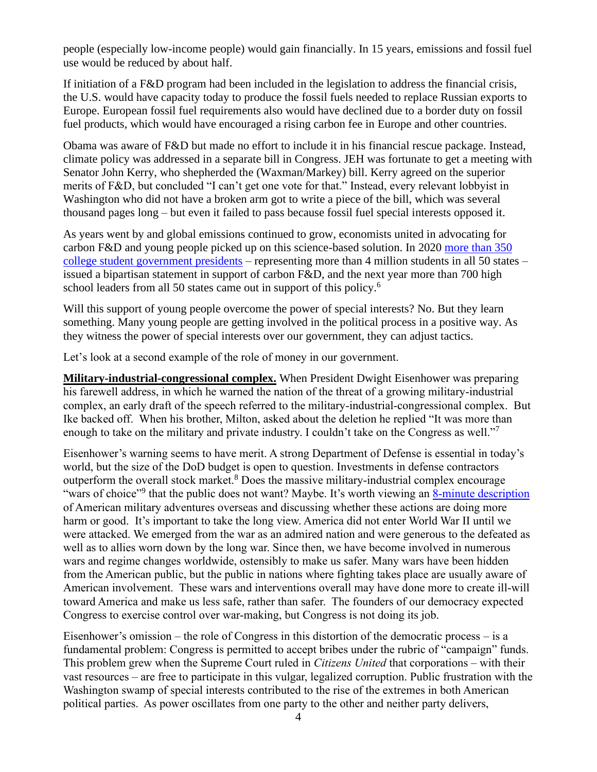people (especially low-income people) would gain financially. In 15 years, emissions and fossil fuel use would be reduced by about half.

If initiation of a F&D program had been included in the legislation to address the financial crisis, the U.S. would have capacity today to produce the fossil fuels needed to replace Russian exports to Europe. European fossil fuel requirements also would have declined due to a border duty on fossil fuel products, which would have encouraged a rising carbon fee in Europe and other countries.

Obama was aware of F&D but made no effort to include it in his financial rescue package. Instead, climate policy was addressed in a separate bill in Congress. JEH was fortunate to get a meeting with Senator John Kerry, who shepherded the (Waxman/Markey) bill. Kerry agreed on the superior merits of F&D, but concluded "I can't get one vote for that." Instead, every relevant lobbyist in Washington who did not have a broken arm got to write a piece of the bill, which was several thousand pages long – but even it failed to pass because fossil fuel special interests opposed it.

As years went by and global emissions continued to grow, economists united in advocating for carbon F&D and young people picked up on this science-based solution. In 2020 [more than 350](https://www.s4cd.org/statement)  [college student government presidents](https://www.s4cd.org/statement) – representing more than 4 million students in all 50 states – issued a bipartisan statement in support of carbon F&D, and the next year more than 700 high school leaders from all 50 states came out in support of this policy.<sup>6</sup>

Will this support of young people overcome the power of special interests? No. But they learn something. Many young people are getting involved in the political process in a positive way. As they witness the power of special interests over our government, they can adjust tactics.

Let's look at a second example of the role of money in our government.

**Military-industrial-congressional complex.** When President Dwight Eisenhower was preparing his farewell address, in which he warned the nation of the threat of a growing military-industrial complex, an early draft of the speech referred to the military-industrial-congressional complex. But Ike backed off. When his brother, Milton, asked about the deletion he replied "It was more than enough to take on the military and private industry. I couldn't take on the Congress as well."<sup>7</sup>

Eisenhower's warning seems to have merit. A strong Department of Defense is essential in today's world, but the size of the DoD budget is open to question. Investments in defense contractors outperform the overall stock market.<sup>8</sup> Does the massive military-industrial complex encourage "wars of choice"<sup>9</sup> that the public does not want? Maybe. It's worth viewing an [8-minute description](https://www.youtube.com/watch?v=uD8N4JQy7cw) of American military adventures overseas and discussing whether these actions are doing more harm or good. It's important to take the long view. America did not enter World War II until we were attacked. We emerged from the war as an admired nation and were generous to the defeated as well as to allies worn down by the long war. Since then, we have become involved in numerous wars and regime changes worldwide, ostensibly to make us safer. Many wars have been hidden from the American public, but the public in nations where fighting takes place are usually aware of American involvement. These wars and interventions overall may have done more to create ill-will toward America and make us less safe, rather than safer. The founders of our democracy expected Congress to exercise control over war-making, but Congress is not doing its job.

Eisenhower's omission – the role of Congress in this distortion of the democratic process – is a fundamental problem: Congress is permitted to accept bribes under the rubric of "campaign" funds. This problem grew when the Supreme Court ruled in *Citizens United* that corporations – with their vast resources – are free to participate in this vulgar, legalized corruption. Public frustration with the Washington swamp of special interests contributed to the rise of the extremes in both American political parties. As power oscillates from one party to the other and neither party delivers,